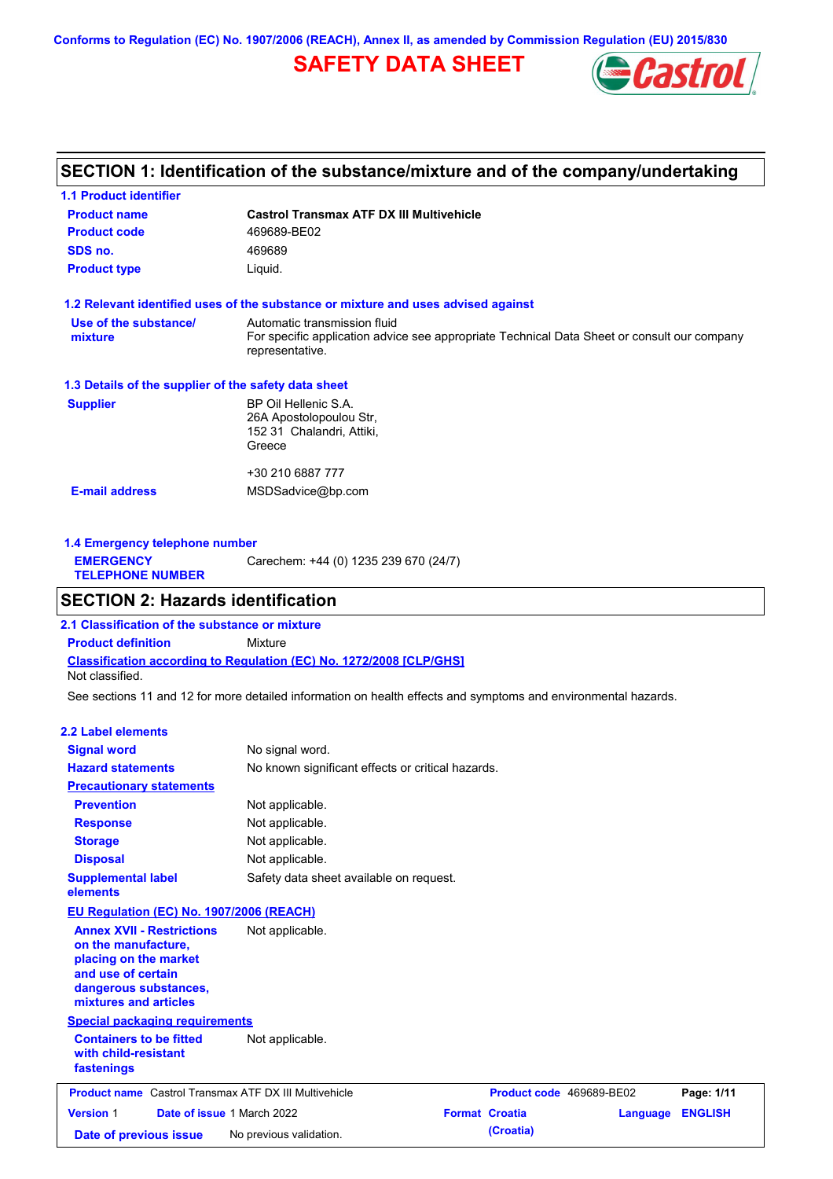**Conforms to Regulation (EC) No. 1907/2006 (REACH), Annex II, as amended by Commission Regulation (EU) 2015/830**

# **SAFETY DATA SHEET**



# **SECTION 1: Identification of the substance/mixture and of the company/undertaking**

| <b>1.1 Product identifier</b>                        |                                                                                                                                                |
|------------------------------------------------------|------------------------------------------------------------------------------------------------------------------------------------------------|
| <b>Product name</b>                                  | <b>Castrol Transmax ATF DX III Multivehicle</b>                                                                                                |
| <b>Product code</b>                                  | 469689-BE02                                                                                                                                    |
| SDS no.                                              | 469689                                                                                                                                         |
| <b>Product type</b>                                  | Liquid.                                                                                                                                        |
|                                                      | 1.2 Relevant identified uses of the substance or mixture and uses advised against                                                              |
| Use of the substance/<br>mixture                     | Automatic transmission fluid<br>For specific application advice see appropriate Technical Data Sheet or consult our company<br>representative. |
| 1.3 Details of the supplier of the safety data sheet |                                                                                                                                                |
| <b>Supplier</b>                                      | BP Oil Hellenic S.A.<br>26A Apostolopoulou Str.<br>152 31 Chalandri, Attiki,<br>Greece                                                         |
|                                                      | +30 210 6887 777                                                                                                                               |
| <b>E-mail address</b>                                | MSDSadvice@bp.com                                                                                                                              |
|                                                      |                                                                                                                                                |

| Carechem: +44 (0) 1235 239 670 (24/7)<br><b>EMERGENCY</b><br><b>TELEPHONE NUMBER</b> | 1.4 Emergency telephone number |  |
|--------------------------------------------------------------------------------------|--------------------------------|--|
|                                                                                      |                                |  |

# **SECTION 2: Hazards identification**

**Classification according to Regulation (EC) No. 1272/2008 [CLP/GHS] 2.1 Classification of the substance or mixture Product definition** Mixture Not classified.

See sections 11 and 12 for more detailed information on health effects and symptoms and environmental hazards.

### **2.2 Label elements**

| <b>Signal word</b>                                                                                                                                       | No signal word.                                   |                       |                          |                |
|----------------------------------------------------------------------------------------------------------------------------------------------------------|---------------------------------------------------|-----------------------|--------------------------|----------------|
| <b>Hazard statements</b>                                                                                                                                 | No known significant effects or critical hazards. |                       |                          |                |
| <b>Precautionary statements</b>                                                                                                                          |                                                   |                       |                          |                |
| <b>Prevention</b>                                                                                                                                        | Not applicable.                                   |                       |                          |                |
| <b>Response</b>                                                                                                                                          | Not applicable.                                   |                       |                          |                |
| <b>Storage</b>                                                                                                                                           | Not applicable.                                   |                       |                          |                |
| <b>Disposal</b>                                                                                                                                          | Not applicable.                                   |                       |                          |                |
| <b>Supplemental label</b><br>elements                                                                                                                    | Safety data sheet available on request.           |                       |                          |                |
| EU Regulation (EC) No. 1907/2006 (REACH)                                                                                                                 |                                                   |                       |                          |                |
| <b>Annex XVII - Restrictions</b><br>on the manufacture,<br>placing on the market<br>and use of certain<br>dangerous substances,<br>mixtures and articles | Not applicable.                                   |                       |                          |                |
| <b>Special packaging requirements</b>                                                                                                                    |                                                   |                       |                          |                |
| <b>Containers to be fitted</b><br>with child-resistant<br>fastenings                                                                                     | Not applicable.                                   |                       |                          |                |
| <b>Product name</b> Castrol Transmax ATF DX III Multivehicle                                                                                             |                                                   |                       | Product code 469689-BE02 | Page: 1/11     |
| <b>Version 1</b>                                                                                                                                         | Date of issue 1 March 2022                        | <b>Format Croatia</b> | Language                 | <b>ENGLISH</b> |
|                                                                                                                                                          |                                                   |                       |                          |                |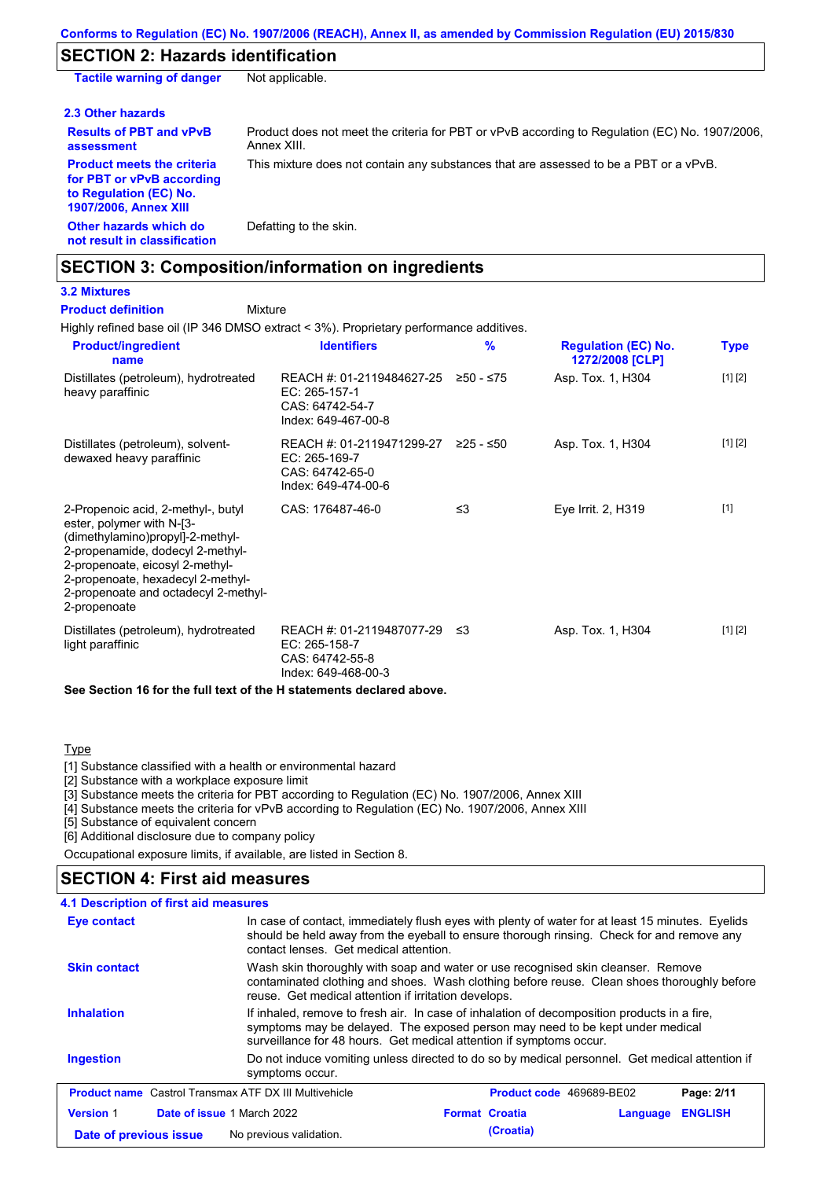# **SECTION 2: Hazards identification**

| <b>Tactile warning of danger</b>                                                                                         | Not applicable.                                                                                               |
|--------------------------------------------------------------------------------------------------------------------------|---------------------------------------------------------------------------------------------------------------|
| 2.3 Other hazards                                                                                                        |                                                                                                               |
| <b>Results of PBT and vPvB</b><br>assessment                                                                             | Product does not meet the criteria for PBT or vPvB according to Regulation (EC) No. 1907/2006.<br>Annex XIII. |
| <b>Product meets the criteria</b><br>for PBT or vPvB according<br>to Regulation (EC) No.<br><b>1907/2006, Annex XIII</b> | This mixture does not contain any substances that are assessed to be a PBT or a vPvB.                         |
| Other hazards which do<br>not result in classification                                                                   | Defatting to the skin.                                                                                        |

# **SECTION 3: Composition/information on ingredients**

**3.2 Mixtures**

#### Mixture **Product definition**

Highly refined base oil (IP 346 DMSO extract < 3%). Proprietary performance additives.

| <b>Product/ingredient</b><br>name                                                                                                                                                                                                                                       | <b>Identifiers</b>                                                                   | $\frac{9}{6}$ | <b>Regulation (EC) No.</b><br>1272/2008 [CLP] | Type    |
|-------------------------------------------------------------------------------------------------------------------------------------------------------------------------------------------------------------------------------------------------------------------------|--------------------------------------------------------------------------------------|---------------|-----------------------------------------------|---------|
| Distillates (petroleum), hydrotreated<br>heavy paraffinic                                                                                                                                                                                                               | REACH #: 01-2119484627-25<br>EC: 265-157-1<br>CAS: 64742-54-7<br>Index: 649-467-00-8 | $≥50 - ≤75$   | Asp. Tox. 1, H304                             | [1] [2] |
| Distillates (petroleum), solvent-<br>dewaxed heavy paraffinic                                                                                                                                                                                                           | REACH #: 01-2119471299-27<br>EC: 265-169-7<br>CAS: 64742-65-0<br>Index: 649-474-00-6 | 225 - ≤50     | Asp. Tox. 1, H304                             | [1] [2] |
| 2-Propenoic acid, 2-methyl-, butyl<br>ester, polymer with N-[3-<br>(dimethylamino)propyl]-2-methyl-<br>2-propenamide, dodecyl 2-methyl-<br>2-propenoate, eicosyl 2-methyl-<br>2-propenoate, hexadecyl 2-methyl-<br>2-propenoate and octadecyl 2-methyl-<br>2-propenoate | CAS: 176487-46-0                                                                     | ≤3            | Eye Irrit. 2, H319                            | $[1]$   |
| Distillates (petroleum), hydrotreated<br>light paraffinic                                                                                                                                                                                                               | REACH #: 01-2119487077-29<br>EC: 265-158-7<br>CAS: 64742-55-8<br>Index: 649-468-00-3 | ו≥ ≤          | Asp. Tox. 1, H304                             | [1] [2] |

**See Section 16 for the full text of the H statements declared above.**

### **Type**

[1] Substance classified with a health or environmental hazard

[2] Substance with a workplace exposure limit

[3] Substance meets the criteria for PBT according to Regulation (EC) No. 1907/2006, Annex XIII

[4] Substance meets the criteria for vPvB according to Regulation (EC) No. 1907/2006, Annex XIII

[5] Substance of equivalent concern

[6] Additional disclosure due to company policy

Occupational exposure limits, if available, are listed in Section 8.

## **SECTION 4: First aid measures**

| 4.1 Description of first aid measures                        |                                                                                                                                                                                                                                                     |
|--------------------------------------------------------------|-----------------------------------------------------------------------------------------------------------------------------------------------------------------------------------------------------------------------------------------------------|
| <b>Eye contact</b>                                           | In case of contact, immediately flush eyes with plenty of water for at least 15 minutes. Eyelids<br>should be held away from the eyeball to ensure thorough rinsing. Check for and remove any<br>contact lenses. Get medical attention.             |
| <b>Skin contact</b>                                          | Wash skin thoroughly with soap and water or use recognised skin cleanser. Remove<br>contaminated clothing and shoes. Wash clothing before reuse. Clean shoes thoroughly before<br>reuse. Get medical attention if irritation develops.              |
| <b>Inhalation</b>                                            | If inhaled, remove to fresh air. In case of inhalation of decomposition products in a fire,<br>symptoms may be delayed. The exposed person may need to be kept under medical<br>surveillance for 48 hours. Get medical attention if symptoms occur. |
| <b>Ingestion</b>                                             | Do not induce vomiting unless directed to do so by medical personnel. Get medical attention if<br>symptoms occur.                                                                                                                                   |
| <b>Product name</b> Castrol Transmax ATF DX III Multivehicle | <b>Product code</b> 469689-BE02<br>Page: 2/11                                                                                                                                                                                                       |
| <b>Version 1</b>                                             | <b>ENGLISH</b><br>Date of issue 1 March 2022<br><b>Format Croatia</b><br>Language                                                                                                                                                                   |
| Date of previous issue                                       | (Croatia)<br>No previous validation.                                                                                                                                                                                                                |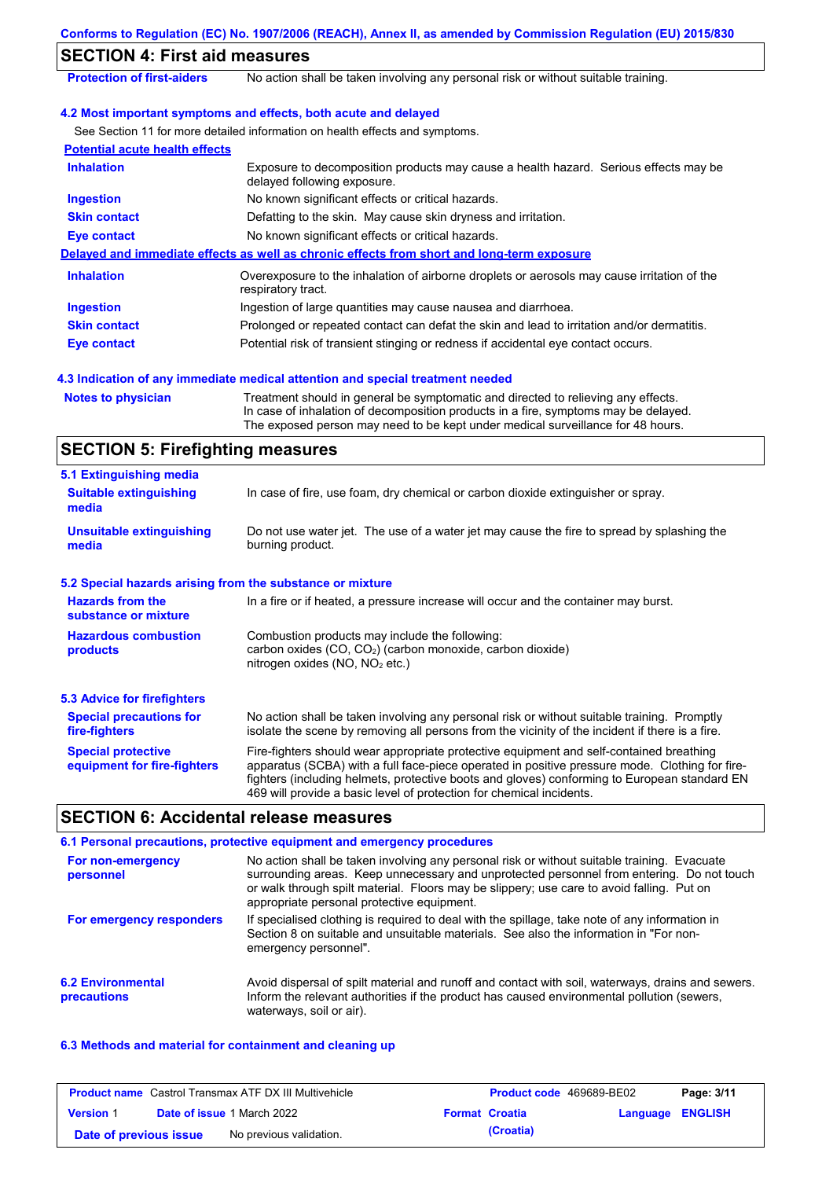|                                                           | Conforms to Regulation (EC) No. 1907/2006 (REACH), Annex II, as amended by Commission Regulation (EU) 2015/830                                                                                                                                                                                                                                                    |
|-----------------------------------------------------------|-------------------------------------------------------------------------------------------------------------------------------------------------------------------------------------------------------------------------------------------------------------------------------------------------------------------------------------------------------------------|
| <b>SECTION 4: First aid measures</b>                      |                                                                                                                                                                                                                                                                                                                                                                   |
| <b>Protection of first-aiders</b>                         | No action shall be taken involving any personal risk or without suitable training.                                                                                                                                                                                                                                                                                |
|                                                           | 4.2 Most important symptoms and effects, both acute and delayed                                                                                                                                                                                                                                                                                                   |
|                                                           | See Section 11 for more detailed information on health effects and symptoms.                                                                                                                                                                                                                                                                                      |
| <b>Potential acute health effects</b>                     |                                                                                                                                                                                                                                                                                                                                                                   |
| <b>Inhalation</b>                                         | Exposure to decomposition products may cause a health hazard. Serious effects may be<br>delayed following exposure.                                                                                                                                                                                                                                               |
| <b>Ingestion</b>                                          | No known significant effects or critical hazards.                                                                                                                                                                                                                                                                                                                 |
| <b>Skin contact</b>                                       | Defatting to the skin. May cause skin dryness and irritation.                                                                                                                                                                                                                                                                                                     |
| <b>Eye contact</b>                                        | No known significant effects or critical hazards.                                                                                                                                                                                                                                                                                                                 |
|                                                           | Delayed and immediate effects as well as chronic effects from short and long-term exposure                                                                                                                                                                                                                                                                        |
| <b>Inhalation</b>                                         | Overexposure to the inhalation of airborne droplets or aerosols may cause irritation of the<br>respiratory tract.                                                                                                                                                                                                                                                 |
| <b>Ingestion</b>                                          | Ingestion of large quantities may cause nausea and diarrhoea.                                                                                                                                                                                                                                                                                                     |
| <b>Skin contact</b>                                       | Prolonged or repeated contact can defat the skin and lead to irritation and/or dermatitis.                                                                                                                                                                                                                                                                        |
| <b>Eye contact</b>                                        | Potential risk of transient stinging or redness if accidental eye contact occurs.                                                                                                                                                                                                                                                                                 |
|                                                           | 4.3 Indication of any immediate medical attention and special treatment needed                                                                                                                                                                                                                                                                                    |
| <b>Notes to physician</b>                                 | Treatment should in general be symptomatic and directed to relieving any effects.<br>In case of inhalation of decomposition products in a fire, symptoms may be delayed.<br>The exposed person may need to be kept under medical surveillance for 48 hours.                                                                                                       |
| <b>SECTION 5: Firefighting measures</b>                   |                                                                                                                                                                                                                                                                                                                                                                   |
| 5.1 Extinguishing media                                   |                                                                                                                                                                                                                                                                                                                                                                   |
| <b>Suitable extinguishing</b><br>media                    | In case of fire, use foam, dry chemical or carbon dioxide extinguisher or spray.                                                                                                                                                                                                                                                                                  |
| <b>Unsuitable extinguishing</b><br>media                  | Do not use water jet. The use of a water jet may cause the fire to spread by splashing the<br>burning product.                                                                                                                                                                                                                                                    |
| 5.2 Special hazards arising from the substance or mixture |                                                                                                                                                                                                                                                                                                                                                                   |
| <b>Hazards from the</b><br>substance or mixture           | In a fire or if heated, a pressure increase will occur and the container may burst.                                                                                                                                                                                                                                                                               |
| <b>Hazardous combustion</b><br>products                   | Combustion products may include the following:<br>carbon oxides (CO, CO <sub>2</sub> ) (carbon monoxide, carbon dioxide)<br>nitrogen oxides (NO, NO <sub>2</sub> etc.)                                                                                                                                                                                            |
| <b>5.3 Advice for firefighters</b>                        |                                                                                                                                                                                                                                                                                                                                                                   |
| <b>Special precautions for</b><br>fire-fighters           | No action shall be taken involving any personal risk or without suitable training. Promptly<br>isolate the scene by removing all persons from the vicinity of the incident if there is a fire.                                                                                                                                                                    |
| <b>Special protective</b><br>equipment for fire-fighters  | Fire-fighters should wear appropriate protective equipment and self-contained breathing<br>apparatus (SCBA) with a full face-piece operated in positive pressure mode. Clothing for fire-<br>fighters (including helmets, protective boots and gloves) conforming to European standard EN<br>469 will provide a basic level of protection for chemical incidents. |
| <b>SECTION 6: Accidental release measures</b>             |                                                                                                                                                                                                                                                                                                                                                                   |
|                                                           | 6.1 Personal precautions, protective equipment and emergency procedures                                                                                                                                                                                                                                                                                           |

|                                         | <u>u. Li cibuliai prodagguid, prugueles ugaipinent and chicigency pruguance</u>                                                                                                                                                                                                                                                     |
|-----------------------------------------|-------------------------------------------------------------------------------------------------------------------------------------------------------------------------------------------------------------------------------------------------------------------------------------------------------------------------------------|
| For non-emergency<br>personnel          | No action shall be taken involving any personal risk or without suitable training. Evacuate<br>surrounding areas. Keep unnecessary and unprotected personnel from entering. Do not touch<br>or walk through spilt material. Floors may be slippery; use care to avoid falling. Put on<br>appropriate personal protective equipment. |
| For emergency responders                | If specialised clothing is required to deal with the spillage, take note of any information in<br>Section 8 on suitable and unsuitable materials. See also the information in "For non-<br>emergency personnel".                                                                                                                    |
| <b>6.2 Environmental</b><br>precautions | Avoid dispersal of spilt material and runoff and contact with soil, waterways, drains and sewers.<br>Inform the relevant authorities if the product has caused environmental pollution (sewers,<br>waterways, soil or air).                                                                                                         |

### **6.3 Methods and material for containment and cleaning up**

| <b>Product name</b> Castrol Transmax ATF DX III Multivehicle |  | <b>Product code</b> 469689-BE02   |  | Page: 3/11            |                  |  |
|--------------------------------------------------------------|--|-----------------------------------|--|-----------------------|------------------|--|
| <b>Version 1</b>                                             |  | <b>Date of issue 1 March 2022</b> |  | <b>Format Croatia</b> | Language ENGLISH |  |
| Date of previous issue                                       |  | No previous validation.           |  | (Croatia)             |                  |  |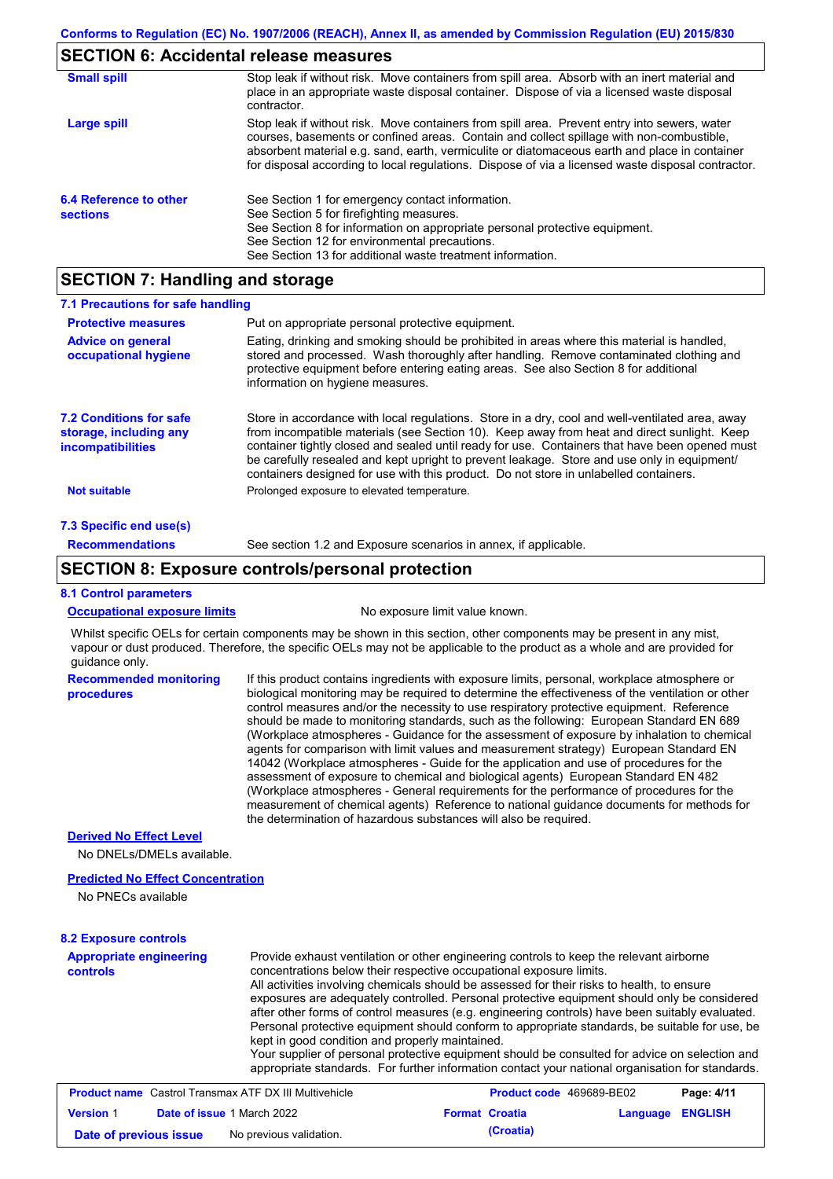## **SECTION 6: Accidental release measures**

| <b>Small spill</b>                        | Stop leak if without risk. Move containers from spill area. Absorb with an inert material and<br>place in an appropriate waste disposal container. Dispose of via a licensed waste disposal<br>contractor.                                                                                                                                                                                     |
|-------------------------------------------|------------------------------------------------------------------------------------------------------------------------------------------------------------------------------------------------------------------------------------------------------------------------------------------------------------------------------------------------------------------------------------------------|
| Large spill                               | Stop leak if without risk. Move containers from spill area. Prevent entry into sewers, water<br>courses, basements or confined areas. Contain and collect spillage with non-combustible,<br>absorbent material e.g. sand, earth, vermiculite or diatomaceous earth and place in container<br>for disposal according to local regulations. Dispose of via a licensed waste disposal contractor. |
| 6.4 Reference to other<br><b>sections</b> | See Section 1 for emergency contact information.<br>See Section 5 for firefighting measures.<br>See Section 8 for information on appropriate personal protective equipment.<br>See Section 12 for environmental precautions.<br>See Section 13 for additional waste treatment information.                                                                                                     |

# **SECTION 7: Handling and storage**

| 7.1 Precautions for safe handling                                             |                                                                                                                                                                                                                                                                                                                                                                                                                                                                                          |
|-------------------------------------------------------------------------------|------------------------------------------------------------------------------------------------------------------------------------------------------------------------------------------------------------------------------------------------------------------------------------------------------------------------------------------------------------------------------------------------------------------------------------------------------------------------------------------|
| <b>Protective measures</b>                                                    | Put on appropriate personal protective equipment.                                                                                                                                                                                                                                                                                                                                                                                                                                        |
| <b>Advice on general</b><br>occupational hygiene                              | Eating, drinking and smoking should be prohibited in areas where this material is handled,<br>stored and processed. Wash thoroughly after handling. Remove contaminated clothing and<br>protective equipment before entering eating areas. See also Section 8 for additional<br>information on hygiene measures.                                                                                                                                                                         |
| <b>7.2 Conditions for safe</b><br>storage, including any<br>incompatibilities | Store in accordance with local requlations. Store in a dry, cool and well-ventilated area, away<br>from incompatible materials (see Section 10). Keep away from heat and direct sunlight. Keep<br>container tightly closed and sealed until ready for use. Containers that have been opened must<br>be carefully resealed and kept upright to prevent leakage. Store and use only in equipment/<br>containers designed for use with this product. Do not store in unlabelled containers. |
| <b>Not suitable</b>                                                           | Prolonged exposure to elevated temperature.                                                                                                                                                                                                                                                                                                                                                                                                                                              |
| 7.3 Specific end use(s)                                                       |                                                                                                                                                                                                                                                                                                                                                                                                                                                                                          |
| <b>Recommendations</b>                                                        | See section 1.2 and Exposure scenarios in annex, if applicable.                                                                                                                                                                                                                                                                                                                                                                                                                          |

## **SECTION 8: Exposure controls/personal protection**

### **8.1 Control parameters**

**Occupational exposure limits** No exposure limit value known.

Whilst specific OELs for certain components may be shown in this section, other components may be present in any mist, vapour or dust produced. Therefore, the specific OELs may not be applicable to the product as a whole and are provided for guidance only.

**Recommended monitoring procedures** If this product contains ingredients with exposure limits, personal, workplace atmosphere or biological monitoring may be required to determine the effectiveness of the ventilation or other control measures and/or the necessity to use respiratory protective equipment. Reference should be made to monitoring standards, such as the following: European Standard EN 689 (Workplace atmospheres - Guidance for the assessment of exposure by inhalation to chemical agents for comparison with limit values and measurement strategy) European Standard EN 14042 (Workplace atmospheres - Guide for the application and use of procedures for the assessment of exposure to chemical and biological agents) European Standard EN 482 (Workplace atmospheres - General requirements for the performance of procedures for the measurement of chemical agents) Reference to national guidance documents for methods for the determination of hazardous substances will also be required.

### **Derived No Effect Level**

No DNELs/DMELs available.

### **Predicted No Effect Concentration**

No PNECs available

#### **8.2 Exposure controls**

| <b>Appropriate engineering</b><br><b>controls</b> | Provide exhaust ventilation or other engineering controls to keep the relevant airborne<br>concentrations below their respective occupational exposure limits.<br>All activities involving chemicals should be assessed for their risks to health, to ensure<br>exposures are adequately controlled. Personal protective equipment should only be considered<br>after other forms of control measures (e.g. engineering controls) have been suitably evaluated.<br>Personal protective equipment should conform to appropriate standards, be suitable for use, be<br>kept in good condition and properly maintained.<br>Your supplier of personal protective equipment should be consulted for advice on selection and<br>appropriate standards. For further information contact your national organisation for standards. |
|---------------------------------------------------|----------------------------------------------------------------------------------------------------------------------------------------------------------------------------------------------------------------------------------------------------------------------------------------------------------------------------------------------------------------------------------------------------------------------------------------------------------------------------------------------------------------------------------------------------------------------------------------------------------------------------------------------------------------------------------------------------------------------------------------------------------------------------------------------------------------------------|
|---------------------------------------------------|----------------------------------------------------------------------------------------------------------------------------------------------------------------------------------------------------------------------------------------------------------------------------------------------------------------------------------------------------------------------------------------------------------------------------------------------------------------------------------------------------------------------------------------------------------------------------------------------------------------------------------------------------------------------------------------------------------------------------------------------------------------------------------------------------------------------------|

|                        | <b>Product name</b> Castrol Transmax ATF DX III Multivehicle | <b>Product code</b> 469689-BE02 |                  | Page: 4/11 |
|------------------------|--------------------------------------------------------------|---------------------------------|------------------|------------|
| <b>Version 1</b>       | <b>Date of issue 1 March 2022</b>                            | <b>Format Croatia</b>           | Language ENGLISH |            |
| Date of previous issue | No previous validation.                                      | (Croatia)                       |                  |            |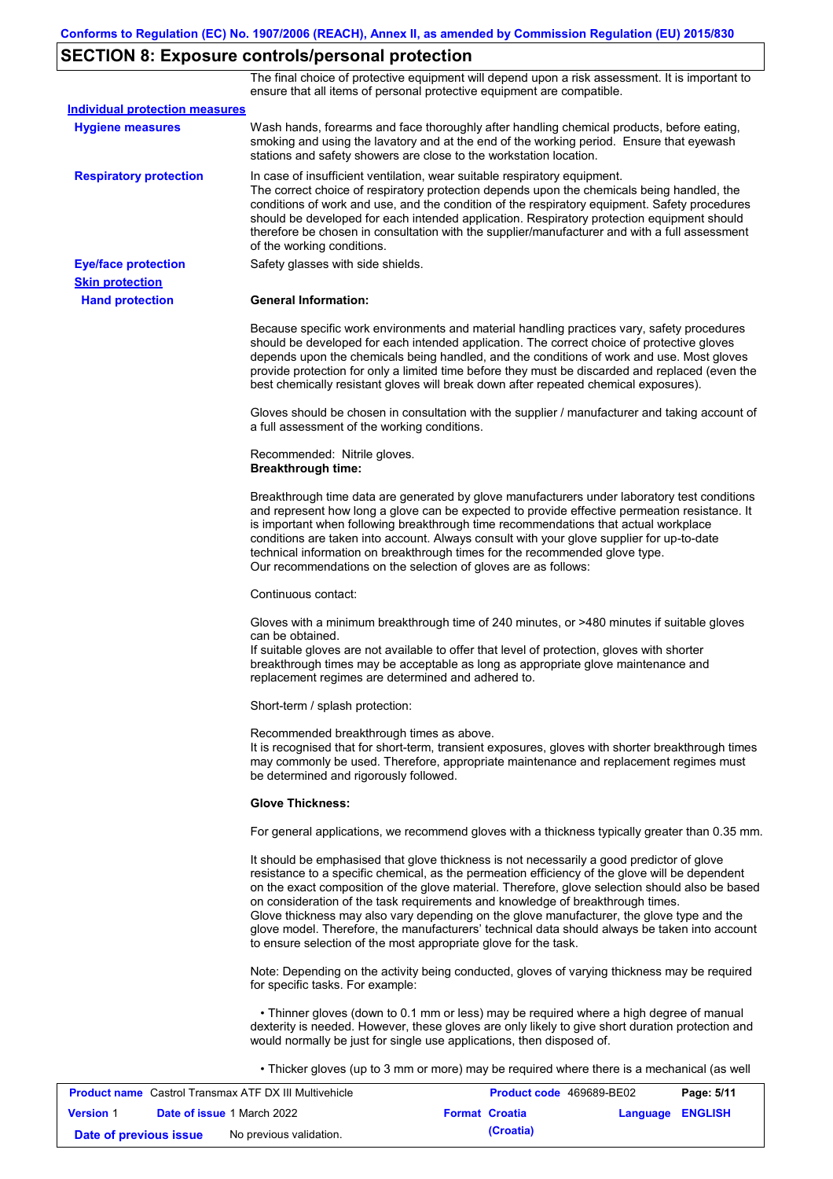# **SECTION 8: Exposure controls/personal protection**

The final choice of protective equipment will depend upon a risk assessment. It is important to ensure that all items of personal protective equipment are compatible.

| <b>Individual protection measures</b> |                                                                                                                                                                                                                                                                                                                                                                                                                                                                                                                                                                                                                                                   |
|---------------------------------------|---------------------------------------------------------------------------------------------------------------------------------------------------------------------------------------------------------------------------------------------------------------------------------------------------------------------------------------------------------------------------------------------------------------------------------------------------------------------------------------------------------------------------------------------------------------------------------------------------------------------------------------------------|
| <b>Hygiene measures</b>               | Wash hands, forearms and face thoroughly after handling chemical products, before eating,<br>smoking and using the lavatory and at the end of the working period. Ensure that eyewash<br>stations and safety showers are close to the workstation location.                                                                                                                                                                                                                                                                                                                                                                                       |
| <b>Respiratory protection</b>         | In case of insufficient ventilation, wear suitable respiratory equipment.<br>The correct choice of respiratory protection depends upon the chemicals being handled, the<br>conditions of work and use, and the condition of the respiratory equipment. Safety procedures<br>should be developed for each intended application. Respiratory protection equipment should<br>therefore be chosen in consultation with the supplier/manufacturer and with a full assessment<br>of the working conditions.                                                                                                                                             |
| <b>Eye/face protection</b>            | Safety glasses with side shields.                                                                                                                                                                                                                                                                                                                                                                                                                                                                                                                                                                                                                 |
| <b>Skin protection</b>                |                                                                                                                                                                                                                                                                                                                                                                                                                                                                                                                                                                                                                                                   |
| <b>Hand protection</b>                | <b>General Information:</b>                                                                                                                                                                                                                                                                                                                                                                                                                                                                                                                                                                                                                       |
|                                       | Because specific work environments and material handling practices vary, safety procedures<br>should be developed for each intended application. The correct choice of protective gloves<br>depends upon the chemicals being handled, and the conditions of work and use. Most gloves<br>provide protection for only a limited time before they must be discarded and replaced (even the<br>best chemically resistant gloves will break down after repeated chemical exposures).                                                                                                                                                                  |
|                                       | Gloves should be chosen in consultation with the supplier / manufacturer and taking account of<br>a full assessment of the working conditions.                                                                                                                                                                                                                                                                                                                                                                                                                                                                                                    |
|                                       | Recommended: Nitrile gloves.<br><b>Breakthrough time:</b>                                                                                                                                                                                                                                                                                                                                                                                                                                                                                                                                                                                         |
|                                       | Breakthrough time data are generated by glove manufacturers under laboratory test conditions<br>and represent how long a glove can be expected to provide effective permeation resistance. It<br>is important when following breakthrough time recommendations that actual workplace<br>conditions are taken into account. Always consult with your glove supplier for up-to-date<br>technical information on breakthrough times for the recommended glove type.<br>Our recommendations on the selection of gloves are as follows:                                                                                                                |
|                                       | Continuous contact:                                                                                                                                                                                                                                                                                                                                                                                                                                                                                                                                                                                                                               |
|                                       | Gloves with a minimum breakthrough time of 240 minutes, or >480 minutes if suitable gloves<br>can be obtained.<br>If suitable gloves are not available to offer that level of protection, gloves with shorter<br>breakthrough times may be acceptable as long as appropriate glove maintenance and<br>replacement regimes are determined and adhered to.                                                                                                                                                                                                                                                                                          |
|                                       | Short-term / splash protection:                                                                                                                                                                                                                                                                                                                                                                                                                                                                                                                                                                                                                   |
|                                       | Recommended breakthrough times as above.<br>It is recognised that for short-term, transient exposures, gloves with shorter breakthrough times<br>may commonly be used. Therefore, appropriate maintenance and replacement regimes must<br>be determined and rigorously followed.                                                                                                                                                                                                                                                                                                                                                                  |
|                                       | <b>Glove Thickness:</b>                                                                                                                                                                                                                                                                                                                                                                                                                                                                                                                                                                                                                           |
|                                       | For general applications, we recommend gloves with a thickness typically greater than 0.35 mm.                                                                                                                                                                                                                                                                                                                                                                                                                                                                                                                                                    |
|                                       | It should be emphasised that glove thickness is not necessarily a good predictor of glove<br>resistance to a specific chemical, as the permeation efficiency of the glove will be dependent<br>on the exact composition of the glove material. Therefore, glove selection should also be based<br>on consideration of the task requirements and knowledge of breakthrough times.<br>Glove thickness may also vary depending on the glove manufacturer, the glove type and the<br>glove model. Therefore, the manufacturers' technical data should always be taken into account<br>to ensure selection of the most appropriate glove for the task. |
|                                       | Note: Depending on the activity being conducted, gloves of varying thickness may be required<br>for specific tasks. For example:                                                                                                                                                                                                                                                                                                                                                                                                                                                                                                                  |
|                                       | • Thinner gloves (down to 0.1 mm or less) may be required where a high degree of manual<br>dexterity is needed. However, these gloves are only likely to give short duration protection and<br>would normally be just for single use applications, then disposed of.                                                                                                                                                                                                                                                                                                                                                                              |
|                                       | • Thicker gloves (up to 3 mm or more) may be required where there is a mechanical (as well                                                                                                                                                                                                                                                                                                                                                                                                                                                                                                                                                        |

| <b>Product name</b> Castrol Transmax ATF DX III Multivehicle |  |                                   | <b>Product code</b> 469689-BE02 |                  | Page: 5/11 |
|--------------------------------------------------------------|--|-----------------------------------|---------------------------------|------------------|------------|
| <b>Version 1</b>                                             |  | <b>Date of issue 1 March 2022</b> | <b>Format Croatia</b>           | Language ENGLISH |            |
| Date of previous issue                                       |  | No previous validation.           | (Croatia)                       |                  |            |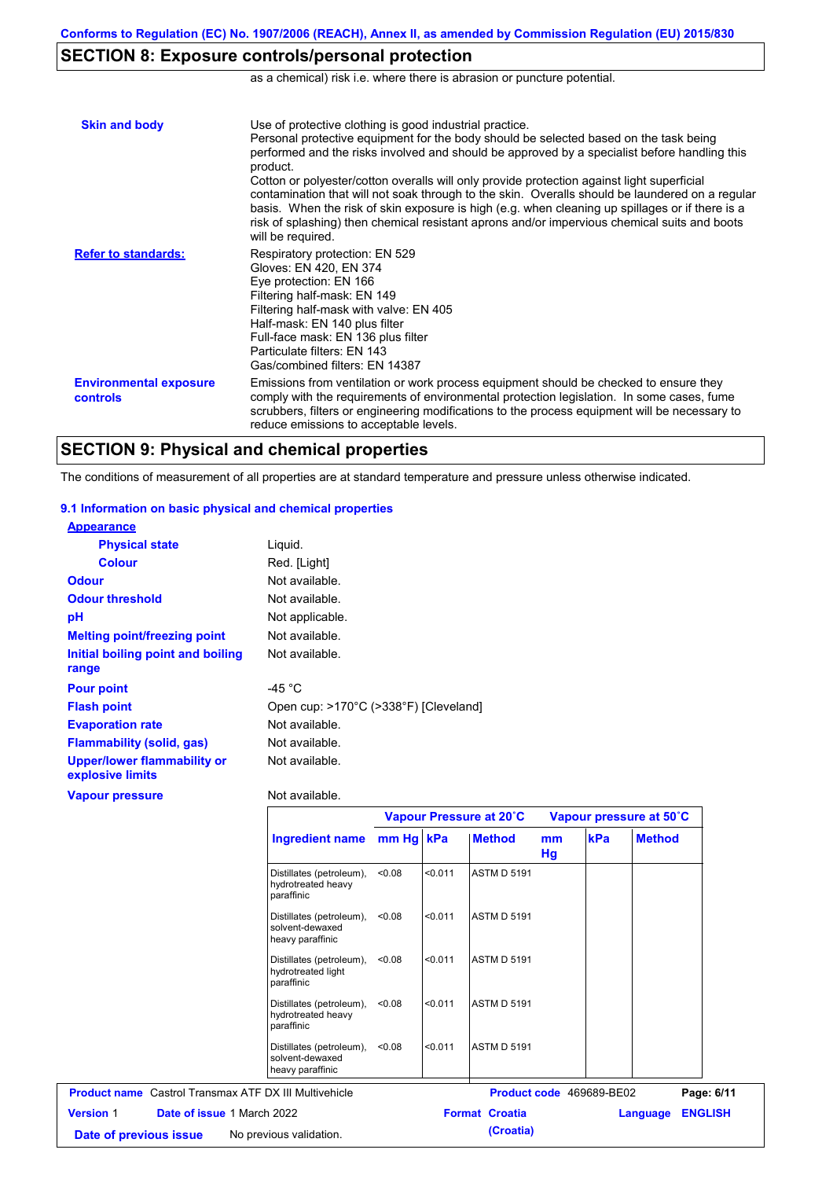# **SECTION 8: Exposure controls/personal protection**

as a chemical) risk i.e. where there is abrasion or puncture potential.

| <b>Skin and body</b>                             | Use of protective clothing is good industrial practice.<br>Personal protective equipment for the body should be selected based on the task being<br>performed and the risks involved and should be approved by a specialist before handling this<br>product.<br>Cotton or polyester/cotton overalls will only provide protection against light superficial<br>contamination that will not soak through to the skin. Overalls should be laundered on a regular<br>basis. When the risk of skin exposure is high (e.g. when cleaning up spillages or if there is a<br>risk of splashing) then chemical resistant aprons and/or impervious chemical suits and boots<br>will be required. |
|--------------------------------------------------|---------------------------------------------------------------------------------------------------------------------------------------------------------------------------------------------------------------------------------------------------------------------------------------------------------------------------------------------------------------------------------------------------------------------------------------------------------------------------------------------------------------------------------------------------------------------------------------------------------------------------------------------------------------------------------------|
| <b>Refer to standards:</b>                       | Respiratory protection: EN 529<br>Gloves: EN 420, EN 374<br>Eye protection: EN 166<br>Filtering half-mask: EN 149<br>Filtering half-mask with valve: EN 405<br>Half-mask: EN 140 plus filter<br>Full-face mask: EN 136 plus filter<br>Particulate filters: EN 143<br>Gas/combined filters: EN 14387                                                                                                                                                                                                                                                                                                                                                                                   |
| <b>Environmental exposure</b><br><b>controls</b> | Emissions from ventilation or work process equipment should be checked to ensure they<br>comply with the requirements of environmental protection legislation. In some cases, fume<br>scrubbers, filters or engineering modifications to the process equipment will be necessary to<br>reduce emissions to acceptable levels.                                                                                                                                                                                                                                                                                                                                                         |

## **SECTION 9: Physical and chemical properties**

The conditions of measurement of all properties are at standard temperature and pressure unless otherwise indicated.

### **9.1 Information on basic physical and chemical properties**

| <b>Appearance</b>                               |                                       |
|-------------------------------------------------|---------------------------------------|
| <b>Physical state</b>                           | Liquid.                               |
| <b>Colour</b>                                   | Red. [Light]                          |
| <b>Odour</b>                                    | Not available.                        |
| <b>Odour threshold</b>                          | Not available.                        |
| рH                                              | Not applicable.                       |
| <b>Melting point/freezing point</b>             | Not available.                        |
| Initial boiling point and boiling               | Not available.                        |
| range                                           |                                       |
| <b>Pour point</b>                               | -45 $^{\circ}$ C                      |
| <b>Flash point</b>                              | Open cup: >170°C (>338°F) [Cleveland] |
| <b>Evaporation rate</b>                         | Not available.                        |
| <b>Flammability (solid, gas)</b>                | Not available.                        |
| Upper/lower flammability or<br>explosive limits | Not available.                        |
| <b>Vapour pressure</b>                          | Not available.                        |

|                                                              |                                                                 |        | Vapour Pressure at 20°C |                          |          | Vapour pressure at 50°C |                            |  |
|--------------------------------------------------------------|-----------------------------------------------------------------|--------|-------------------------|--------------------------|----------|-------------------------|----------------------------|--|
|                                                              | Ingredient name mm Hg   kPa                                     |        |                         | <b>Method</b>            | mm<br>Hg | kPa                     | <b>Method</b>              |  |
|                                                              | Distillates (petroleum),<br>hydrotreated heavy<br>paraffinic    | <0.08  | < 0.011                 | <b>ASTM D 5191</b>       |          |                         |                            |  |
|                                                              | Distillates (petroleum),<br>solvent-dewaxed<br>heavy paraffinic | < 0.08 | < 0.011                 | <b>ASTM D 5191</b>       |          |                         |                            |  |
|                                                              | Distillates (petroleum),<br>hydrotreated light<br>paraffinic    | < 0.08 | < 0.011                 | <b>ASTM D 5191</b>       |          |                         |                            |  |
|                                                              | Distillates (petroleum),<br>hydrotreated heavy<br>paraffinic    | < 0.08 | < 0.011                 | <b>ASTM D 5191</b>       |          |                         |                            |  |
|                                                              | Distillates (petroleum),<br>solvent-dewaxed<br>heavy paraffinic | < 0.08 | < 0.011                 | <b>ASTM D 5191</b>       |          |                         |                            |  |
| <b>Product name</b> Castrol Transmax ATF DX III Multivehicle |                                                                 |        |                         | Product code 469689-BE02 |          |                         | Page: 6/11                 |  |
| <b>Version 1</b><br><b>Date of issue 1 March 2022</b>        |                                                                 |        |                         | <b>Format Croatia</b>    |          |                         | <b>ENGLISH</b><br>Language |  |
| Date of previous issue                                       | No previous validation.                                         |        |                         | (Croatia)                |          |                         |                            |  |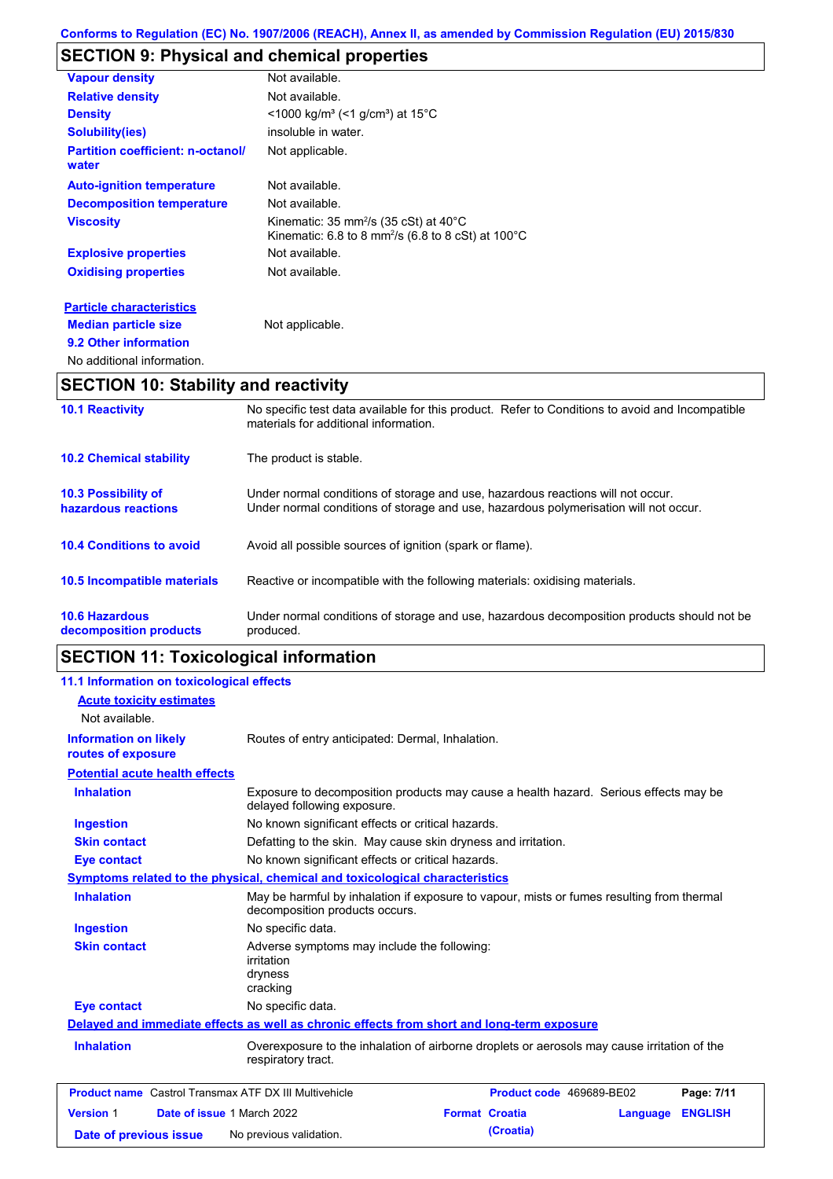# **SECTION 9: Physical and chemical properties**

| <b>Vapour density</b>                             | Not available.                                                                                                                                                 |
|---------------------------------------------------|----------------------------------------------------------------------------------------------------------------------------------------------------------------|
| <b>Relative density</b>                           | Not available.                                                                                                                                                 |
| <b>Density</b>                                    | <1000 kg/m <sup>3</sup> (<1 g/cm <sup>3</sup> ) at 15 <sup>°</sup> C                                                                                           |
| <b>Solubility(ies)</b>                            | insoluble in water.                                                                                                                                            |
| <b>Partition coefficient: n-octanol/</b><br>water | Not applicable.                                                                                                                                                |
| <b>Auto-ignition temperature</b>                  | Not available.                                                                                                                                                 |
| <b>Decomposition temperature</b>                  | Not available.                                                                                                                                                 |
| <b>Viscosity</b>                                  | Kinematic: $35 \text{ mm}^2/\text{s}$ ( $35 \text{ cSt}$ ) at $40^{\circ}\text{C}$<br>Kinematic: 6.8 to 8 mm <sup>2</sup> /s (6.8 to 8 cSt) at $100^{\circ}$ C |
| <b>Explosive properties</b>                       | Not available.                                                                                                                                                 |
| <b>Oxidising properties</b>                       | Not available.                                                                                                                                                 |
| <b>Particle characteristics</b>                   |                                                                                                                                                                |
| <b>Median particle size</b>                       | Not applicable.                                                                                                                                                |
| 9.2 Other information                             |                                                                                                                                                                |
| No additional information.                        |                                                                                                                                                                |

# **SECTION 10: Stability and reactivity**

| <b>10.1 Reactivity</b>                            | No specific test data available for this product. Refer to Conditions to avoid and Incompatible<br>materials for additional information.                                |
|---------------------------------------------------|-------------------------------------------------------------------------------------------------------------------------------------------------------------------------|
| <b>10.2 Chemical stability</b>                    | The product is stable.                                                                                                                                                  |
| <b>10.3 Possibility of</b><br>hazardous reactions | Under normal conditions of storage and use, hazardous reactions will not occur.<br>Under normal conditions of storage and use, hazardous polymerisation will not occur. |
| <b>10.4 Conditions to avoid</b>                   | Avoid all possible sources of ignition (spark or flame).                                                                                                                |
| 10.5 Incompatible materials                       | Reactive or incompatible with the following materials: oxidising materials.                                                                                             |
| <b>10.6 Hazardous</b><br>decomposition products   | Under normal conditions of storage and use, hazardous decomposition products should not be<br>produced.                                                                 |

# **SECTION 11: Toxicological information**

| 11.1 Information on toxicological effects          |                                                                                                                             |                       |          |                |
|----------------------------------------------------|-----------------------------------------------------------------------------------------------------------------------------|-----------------------|----------|----------------|
| <b>Acute toxicity estimates</b>                    |                                                                                                                             |                       |          |                |
| Not available.                                     |                                                                                                                             |                       |          |                |
| <b>Information on likely</b><br>routes of exposure | Routes of entry anticipated: Dermal, Inhalation.                                                                            |                       |          |                |
| <b>Potential acute health effects</b>              |                                                                                                                             |                       |          |                |
| <b>Inhalation</b>                                  | Exposure to decomposition products may cause a health hazard. Serious effects may be<br>delayed following exposure.         |                       |          |                |
| <b>Ingestion</b>                                   | No known significant effects or critical hazards.                                                                           |                       |          |                |
| <b>Skin contact</b>                                | Defatting to the skin. May cause skin dryness and irritation.                                                               |                       |          |                |
| <b>Eye contact</b>                                 | No known significant effects or critical hazards.                                                                           |                       |          |                |
|                                                    | Symptoms related to the physical, chemical and toxicological characteristics                                                |                       |          |                |
| <b>Inhalation</b>                                  | May be harmful by inhalation if exposure to vapour, mists or fumes resulting from thermal<br>decomposition products occurs. |                       |          |                |
| <b>Ingestion</b>                                   | No specific data.                                                                                                           |                       |          |                |
| <b>Skin contact</b>                                | Adverse symptoms may include the following:<br>irritation<br>dryness<br>cracking                                            |                       |          |                |
| <b>Eye contact</b>                                 | No specific data.                                                                                                           |                       |          |                |
|                                                    | Delayed and immediate effects as well as chronic effects from short and long-term exposure                                  |                       |          |                |
| <b>Inhalation</b>                                  | Overexposure to the inhalation of airborne droplets or aerosols may cause irritation of the<br>respiratory tract.           |                       |          |                |
|                                                    | <b>Product name</b> Castrol Transmax ATF DX III Multivehicle<br>Product code 469689-BE02<br>Page: 7/11                      |                       |          |                |
| <b>Version 1</b><br>Date of issue 1 March 2022     |                                                                                                                             | <b>Format Croatia</b> | Language | <b>ENGLISH</b> |
| Date of previous issue                             | No previous validation.                                                                                                     | (Croatia)             |          |                |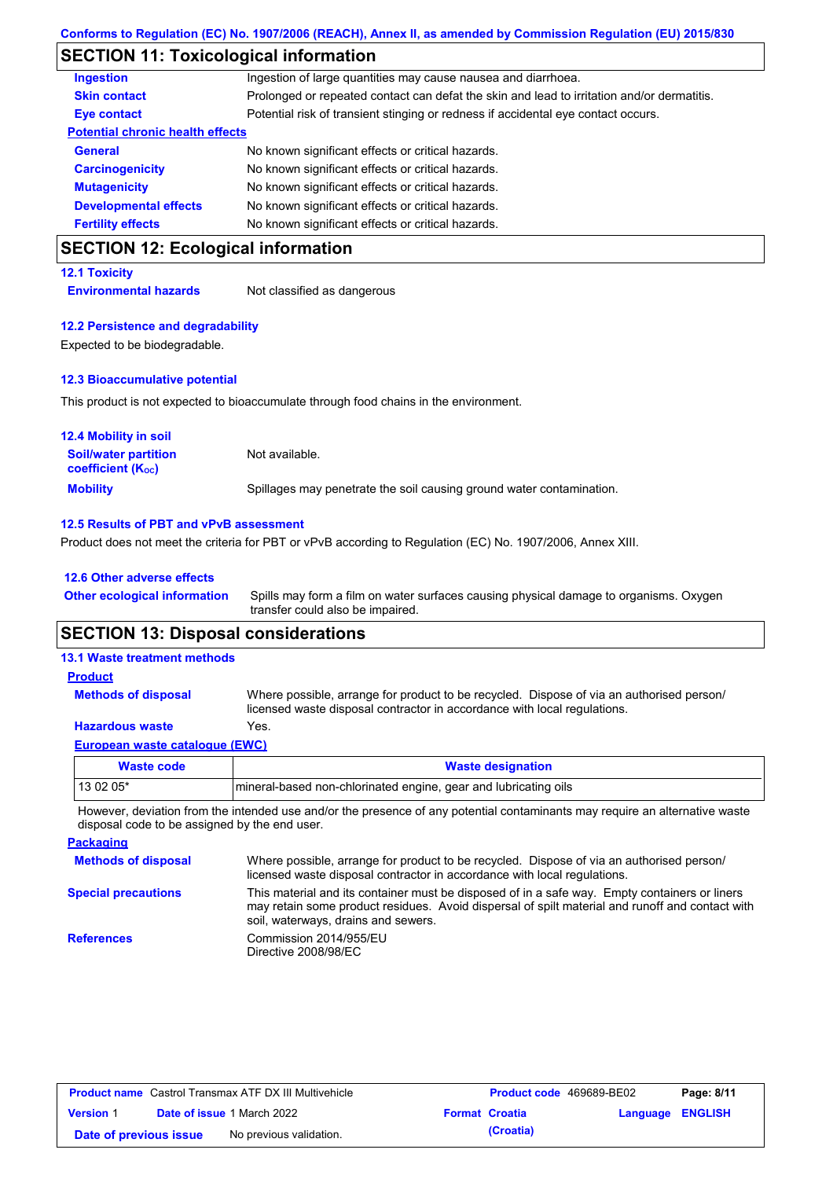# **SECTION 11: Toxicological information**

| <b>Ingestion</b>                        | Ingestion of large quantities may cause nausea and diarrhoea.                              |
|-----------------------------------------|--------------------------------------------------------------------------------------------|
| <b>Skin contact</b>                     | Prolonged or repeated contact can defat the skin and lead to irritation and/or dermatitis. |
| <b>Eye contact</b>                      | Potential risk of transient stinging or redness if accidental eye contact occurs.          |
| <b>Potential chronic health effects</b> |                                                                                            |
| <b>General</b>                          | No known significant effects or critical hazards.                                          |
| <b>Carcinogenicity</b>                  | No known significant effects or critical hazards.                                          |
| <b>Mutagenicity</b>                     | No known significant effects or critical hazards.                                          |
| <b>Developmental effects</b>            | No known significant effects or critical hazards.                                          |
| <b>Fertility effects</b>                | No known significant effects or critical hazards.                                          |
|                                         |                                                                                            |

## **SECTION 12: Ecological information**

**12.1 Toxicity**

**Environmental hazards** Not classified as dangerous

### **12.2 Persistence and degradability**

Expected to be biodegradable.

#### **12.3 Bioaccumulative potential**

This product is not expected to bioaccumulate through food chains in the environment.

| <b>12.4 Mobility in soil</b>                                  |                                                                      |
|---------------------------------------------------------------|----------------------------------------------------------------------|
| <b>Soil/water partition</b><br>coefficient (K <sub>oc</sub> ) | Not available.                                                       |
| <b>Mobility</b>                                               | Spillages may penetrate the soil causing ground water contamination. |

### **12.5 Results of PBT and vPvB assessment**

Product does not meet the criteria for PBT or vPvB according to Regulation (EC) No. 1907/2006, Annex XIII.

### **12.6 Other adverse effects**

**Other ecological information**

Spills may form a film on water surfaces causing physical damage to organisms. Oxygen transfer could also be impaired.

## **SECTION 13: Disposal considerations**

| <b>13.1 Waste treatment methods</b> |                                                                                                                                                                      |  |  |
|-------------------------------------|----------------------------------------------------------------------------------------------------------------------------------------------------------------------|--|--|
| <b>Product</b>                      |                                                                                                                                                                      |  |  |
| <b>Methods of disposal</b>          | Where possible, arrange for product to be recycled. Dispose of via an authorised person/<br>licensed waste disposal contractor in accordance with local regulations. |  |  |
| <b>Hazardous waste</b>              | Yes.                                                                                                                                                                 |  |  |
| European waste catalogue (EWC)      |                                                                                                                                                                      |  |  |

| Waste code | <b>Waste designation</b>                                        |
|------------|-----------------------------------------------------------------|
| $130205*$  | mineral-based non-chlorinated engine, gear and lubricating oils |

However, deviation from the intended use and/or the presence of any potential contaminants may require an alternative waste disposal code to be assigned by the end user.

| <b>Packaging</b>           |                                                                                                                                                                                                                                         |
|----------------------------|-----------------------------------------------------------------------------------------------------------------------------------------------------------------------------------------------------------------------------------------|
| <b>Methods of disposal</b> | Where possible, arrange for product to be recycled. Dispose of via an authorised person/<br>licensed waste disposal contractor in accordance with local regulations.                                                                    |
| <b>Special precautions</b> | This material and its container must be disposed of in a safe way. Empty containers or liners<br>may retain some product residues. Avoid dispersal of spilt material and runoff and contact with<br>soil, waterways, drains and sewers. |
| <b>References</b>          | Commission 2014/955/EU<br>Directive 2008/98/EC                                                                                                                                                                                          |

| <b>Product name</b> Castrol Transmax ATF DX III Multivehicle |  | <b>Product code</b> 469689-BE02   |  | Page: 8/11            |                         |  |
|--------------------------------------------------------------|--|-----------------------------------|--|-----------------------|-------------------------|--|
| <b>Version 1</b>                                             |  | <b>Date of issue 1 March 2022</b> |  | <b>Format Croatia</b> | <b>Language ENGLISH</b> |  |
| Date of previous issue                                       |  | No previous validation.           |  | (Croatia)             |                         |  |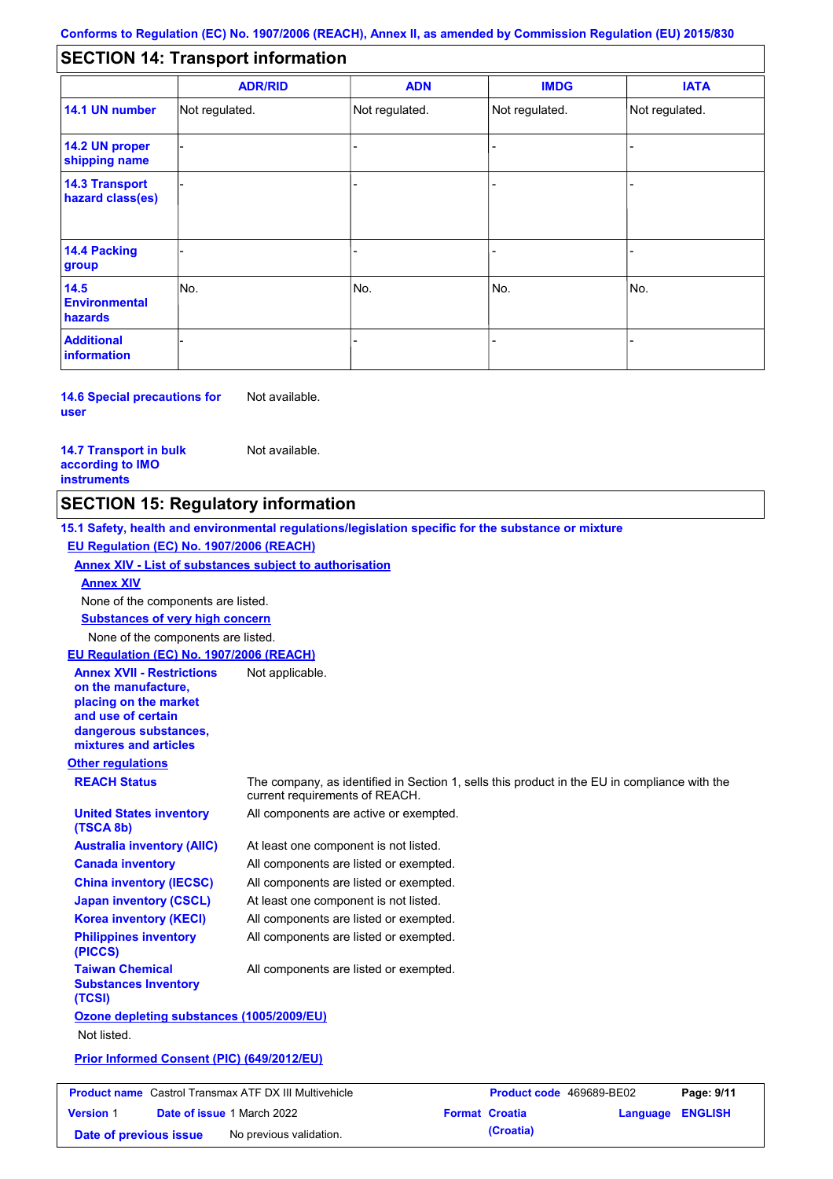#### - - - - - - - - - Not regulated. Not regulated. Not regulated. - - - **SECTION 14: Transport information ADR/RID IMDG IATA 14.1 UN number 14.2 UN proper shipping name 14.3 Transport hazard class(es) 14.4 Packing group ADN Additional information 14.5 Environmental hazards** No. 1980 | No. 1980 | No. 1980 | No. 1980 | No. 1980 | No. 1980 | No. 1980 | No. 1980 | No. 1980 | No. 1980 | Not regulated. - -<br>No. - -

**14.6 Special precautions for user** Not available.

### **14.7 Transport in bulk according to IMO instruments**

Not available.

## **SECTION 15: Regulatory information**

**Other regulations REACH Status** The company, as identified in Section 1, sells this product in the EU in compliance with the current requirements of REACH. **15.1 Safety, health and environmental regulations/legislation specific for the substance or mixture EU Regulation (EC) No. 1907/2006 (REACH) Annex XIV - List of substances subject to authorisation Substances of very high concern** None of the components are listed. At least one component is not listed. All components are listed or exempted. All components are listed or exempted. At least one component is not listed. All components are active or exempted. All components are listed or exempted. All components are listed or exempted. **United States inventory (TSCA 8b) Australia inventory (AIIC) Canada inventory China inventory (IECSC) Japan inventory (CSCL) Korea inventory (KECI) Philippines inventory (PICCS) Taiwan Chemical Substances Inventory (TCSI)** All components are listed or exempted. **Ozone depleting substances (1005/2009/EU)** Not listed. **Prior Informed Consent (PIC) (649/2012/EU)** None of the components are listed. **Annex XIV EU Regulation (EC) No. 1907/2006 (REACH) Annex XVII - Restrictions on the manufacture, placing on the market and use of certain dangerous substances, mixtures and articles** Not applicable.

| <b>Product name</b> Castrol Transmax ATF DX III Multivehicle |  | <b>Product code</b> 469689-BE02   |  | Page: 9/11            |                  |  |
|--------------------------------------------------------------|--|-----------------------------------|--|-----------------------|------------------|--|
| <b>Version 1</b>                                             |  | <b>Date of issue 1 March 2022</b> |  | <b>Format Croatia</b> | Language ENGLISH |  |
| Date of previous issue                                       |  | No previous validation.           |  | (Croatia)             |                  |  |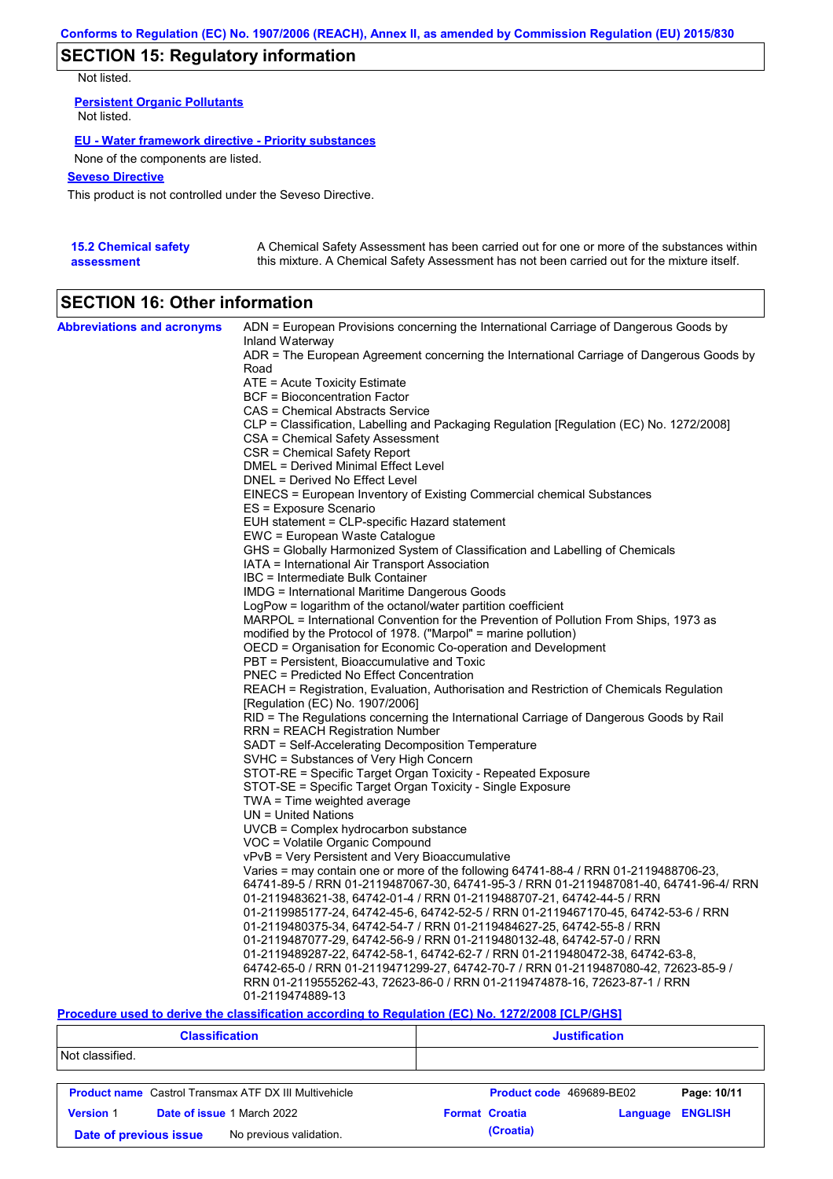# **SECTION 15: Regulatory information**

Not listed.

**Persistent Organic Pollutants** Not listed.

### **EU - Water framework directive - Priority substances**

None of the components are listed.

### **Seveso Directive**

This product is not controlled under the Seveso Directive.

| <b>15.2 Chemical safety</b> | A Chemical Safety Assessment has been carried out for one or more of the substances within  |
|-----------------------------|---------------------------------------------------------------------------------------------|
| assessment                  | this mixture. A Chemical Safety Assessment has not been carried out for the mixture itself. |

# **SECTION 16: Other information**

| <b>Abbreviations and acronyms</b> | ADN = European Provisions concerning the International Carriage of Dangerous Goods by                                           |
|-----------------------------------|---------------------------------------------------------------------------------------------------------------------------------|
|                                   | Inland Waterway<br>ADR = The European Agreement concerning the International Carriage of Dangerous Goods by                     |
|                                   | Road                                                                                                                            |
|                                   | ATE = Acute Toxicity Estimate                                                                                                   |
|                                   | BCF = Bioconcentration Factor                                                                                                   |
|                                   | CAS = Chemical Abstracts Service                                                                                                |
|                                   | CLP = Classification, Labelling and Packaging Regulation [Regulation (EC) No. 1272/2008]                                        |
|                                   | CSA = Chemical Safety Assessment                                                                                                |
|                                   | CSR = Chemical Safety Report                                                                                                    |
|                                   | DMEL = Derived Minimal Effect Level                                                                                             |
|                                   | DNEL = Derived No Effect Level                                                                                                  |
|                                   | EINECS = European Inventory of Existing Commercial chemical Substances                                                          |
|                                   | ES = Exposure Scenario                                                                                                          |
|                                   | EUH statement = CLP-specific Hazard statement                                                                                   |
|                                   | EWC = European Waste Catalogue                                                                                                  |
|                                   | GHS = Globally Harmonized System of Classification and Labelling of Chemicals<br>IATA = International Air Transport Association |
|                                   | IBC = Intermediate Bulk Container                                                                                               |
|                                   | IMDG = International Maritime Dangerous Goods                                                                                   |
|                                   | LogPow = logarithm of the octanol/water partition coefficient                                                                   |
|                                   | MARPOL = International Convention for the Prevention of Pollution From Ships, 1973 as                                           |
|                                   | modified by the Protocol of 1978. ("Marpol" = marine pollution)                                                                 |
|                                   | OECD = Organisation for Economic Co-operation and Development                                                                   |
|                                   | PBT = Persistent, Bioaccumulative and Toxic                                                                                     |
|                                   | <b>PNEC</b> = Predicted No Effect Concentration                                                                                 |
|                                   | REACH = Registration, Evaluation, Authorisation and Restriction of Chemicals Regulation                                         |
|                                   | [Regulation (EC) No. 1907/2006]                                                                                                 |
|                                   | RID = The Regulations concerning the International Carriage of Dangerous Goods by Rail                                          |
|                                   | <b>RRN = REACH Registration Number</b>                                                                                          |
|                                   | SADT = Self-Accelerating Decomposition Temperature                                                                              |
|                                   | SVHC = Substances of Very High Concern                                                                                          |
|                                   | STOT-RE = Specific Target Organ Toxicity - Repeated Exposure<br>STOT-SE = Specific Target Organ Toxicity - Single Exposure      |
|                                   | $TWA = Time$ weighted average                                                                                                   |
|                                   | $UN = United Nations$                                                                                                           |
|                                   | UVCB = Complex hydrocarbon substance                                                                                            |
|                                   | VOC = Volatile Organic Compound                                                                                                 |
|                                   | vPvB = Very Persistent and Very Bioaccumulative                                                                                 |
|                                   | Varies = may contain one or more of the following 64741-88-4 / RRN 01-2119488706-23,                                            |
|                                   | 64741-89-5 / RRN 01-2119487067-30, 64741-95-3 / RRN 01-2119487081-40, 64741-96-4/ RRN                                           |
|                                   | 01-2119483621-38, 64742-01-4 / RRN 01-2119488707-21, 64742-44-5 / RRN                                                           |
|                                   | 01-2119985177-24, 64742-45-6, 64742-52-5 / RRN 01-2119467170-45, 64742-53-6 / RRN                                               |
|                                   | 01-2119480375-34, 64742-54-7 / RRN 01-2119484627-25, 64742-55-8 / RRN                                                           |
|                                   | 01-2119487077-29, 64742-56-9 / RRN 01-2119480132-48, 64742-57-0 / RRN                                                           |
|                                   | 01-2119489287-22, 64742-58-1, 64742-62-7 / RRN 01-2119480472-38, 64742-63-8,                                                    |
|                                   | 64742-65-0 / RRN 01-2119471299-27, 64742-70-7 / RRN 01-2119487080-42, 72623-85-9 /                                              |
|                                   | RRN 01-2119555262-43, 72623-86-0 / RRN 01-2119474878-16, 72623-87-1 / RRN                                                       |
|                                   | 01-2119474889-13                                                                                                                |

### **Procedure used to derive the classification according to Regulation (EC) No. 1272/2008 [CLP/GHS]**

| <b>Classification</b><br>Not classified.          |                                                              |                       | <b>Justification</b> |                          |                |  |  |
|---------------------------------------------------|--------------------------------------------------------------|-----------------------|----------------------|--------------------------|----------------|--|--|
|                                                   |                                                              |                       |                      |                          |                |  |  |
|                                                   | <b>Product name</b> Castrol Transmax ATF DX III Multivehicle |                       |                      | Product code 469689-BE02 | Page: 10/11    |  |  |
| <b>Version 1</b>                                  | <b>Date of issue 1 March 2022</b>                            | <b>Format Croatia</b> |                      | Language                 | <b>ENGLISH</b> |  |  |
| No previous validation.<br>Date of previous issue |                                                              |                       | (Croatia)            |                          |                |  |  |